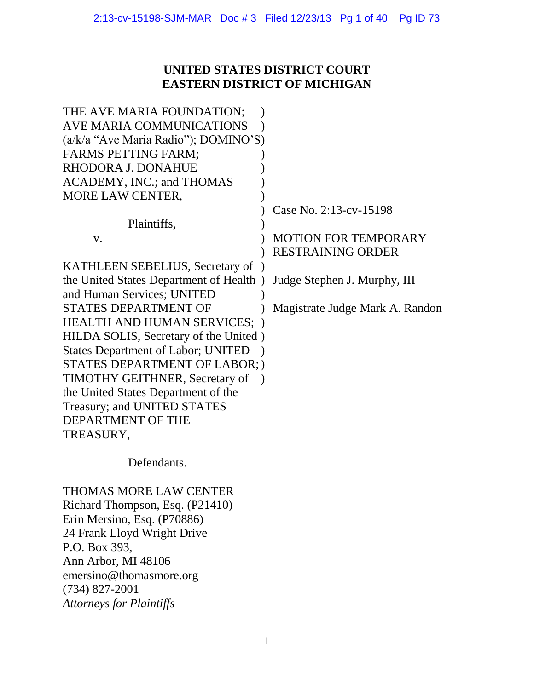# **UNITED STATES DISTRICT COURT EASTERN DISTRICT OF MICHIGAN**

| THE AVE MARIA FOUNDATION;                 |                                 |
|-------------------------------------------|---------------------------------|
| AVE MARIA COMMUNICATIONS                  |                                 |
| (a/k/a "Ave Maria Radio"); DOMINO'S)      |                                 |
| <b>FARMS PETTING FARM;</b>                |                                 |
| RHODORA J. DONAHUE                        |                                 |
| ACADEMY, INC.; and THOMAS                 |                                 |
| MORE LAW CENTER,                          |                                 |
|                                           | Case No. 2:13-cv-15198          |
| Plaintiffs,                               |                                 |
| V.                                        | <b>MOTION FOR TEMPORARY</b>     |
|                                           | <b>RESTRAINING ORDER</b>        |
| KATHLEEN SEBELIUS, Secretary of           |                                 |
| the United States Department of Health)   | Judge Stephen J. Murphy, III    |
| and Human Services; UNITED                |                                 |
| <b>STATES DEPARTMENT OF</b>               | Magistrate Judge Mark A. Randon |
| <b>HEALTH AND HUMAN SERVICES;</b>         |                                 |
| HILDA SOLIS, Secretary of the United)     |                                 |
| <b>States Department of Labor; UNITED</b> |                                 |
| STATES DEPARTMENT OF LABOR;)              |                                 |
| <b>TIMOTHY GEITHNER, Secretary of</b>     |                                 |
| the United States Department of the       |                                 |
| Treasury; and UNITED STATES               |                                 |
| DEPARTMENT OF THE                         |                                 |
| TREASURY,                                 |                                 |
|                                           |                                 |

Defendants.

THOMAS MORE LAW CENTER Richard Thompson, Esq. (P21410) Erin Mersino, Esq. (P70886) 24 Frank Lloyd Wright Drive P.O. Box 393, Ann Arbor, MI 48106 emersino@thomasmore.org (734) 827-2001 *Attorneys for Plaintiffs*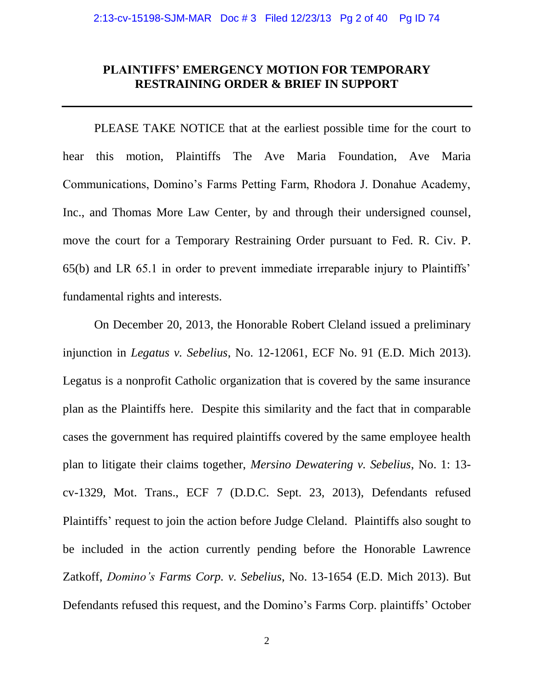## **PLAINTIFFS' EMERGENCY MOTION FOR TEMPORARY RESTRAINING ORDER & BRIEF IN SUPPORT**

PLEASE TAKE NOTICE that at the earliest possible time for the court to hear this motion, Plaintiffs The Ave Maria Foundation, Ave Maria Communications, Domino's Farms Petting Farm, Rhodora J. Donahue Academy, Inc., and Thomas More Law Center, by and through their undersigned counsel, move the court for a Temporary Restraining Order pursuant to Fed. R. Civ. P. 65(b) and LR 65.1 in order to prevent immediate irreparable injury to Plaintiffs' fundamental rights and interests.

On December 20, 2013, the Honorable Robert Cleland issued a preliminary injunction in *Legatus v. Sebelius*, No. 12-12061, ECF No. 91 (E.D. Mich 2013). Legatus is a nonprofit Catholic organization that is covered by the same insurance plan as the Plaintiffs here. Despite this similarity and the fact that in comparable cases the government has required plaintiffs covered by the same employee health plan to litigate their claims together, *Mersino Dewatering v. Sebelius*, No. 1: 13 cv-1329, Mot. Trans., ECF 7 (D.D.C. Sept. 23, 2013), Defendants refused Plaintiffs' request to join the action before Judge Cleland. Plaintiffs also sought to be included in the action currently pending before the Honorable Lawrence Zatkoff, *Domino's Farms Corp. v. Sebelius*, No. 13-1654 (E.D. Mich 2013). But Defendants refused this request, and the Domino's Farms Corp. plaintiffs' October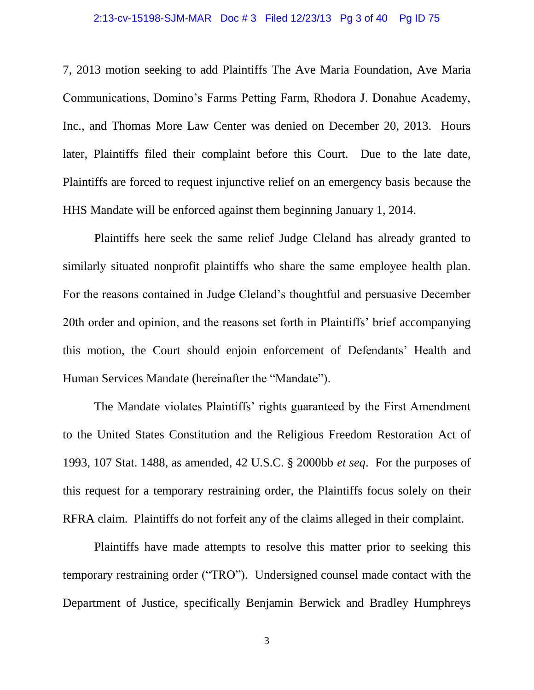#### 2:13-cv-15198-SJM-MAR Doc # 3 Filed 12/23/13 Pg 3 of 40 Pg ID 75

7, 2013 motion seeking to add Plaintiffs The Ave Maria Foundation, Ave Maria Communications, Domino's Farms Petting Farm, Rhodora J. Donahue Academy, Inc., and Thomas More Law Center was denied on December 20, 2013. Hours later, Plaintiffs filed their complaint before this Court. Due to the late date, Plaintiffs are forced to request injunctive relief on an emergency basis because the HHS Mandate will be enforced against them beginning January 1, 2014.

Plaintiffs here seek the same relief Judge Cleland has already granted to similarly situated nonprofit plaintiffs who share the same employee health plan. For the reasons contained in Judge Cleland's thoughtful and persuasive December 20th order and opinion, and the reasons set forth in Plaintiffs' brief accompanying this motion, the Court should enjoin enforcement of Defendants' Health and Human Services Mandate (hereinafter the "Mandate").

The Mandate violates Plaintiffs' rights guaranteed by the First Amendment to the United States Constitution and the Religious Freedom Restoration Act of 1993, 107 Stat. 1488, as amended, 42 U.S.C. § 2000bb *et seq*. For the purposes of this request for a temporary restraining order, the Plaintiffs focus solely on their RFRA claim. Plaintiffs do not forfeit any of the claims alleged in their complaint.

Plaintiffs have made attempts to resolve this matter prior to seeking this temporary restraining order ("TRO"). Undersigned counsel made contact with the Department of Justice, specifically Benjamin Berwick and Bradley Humphreys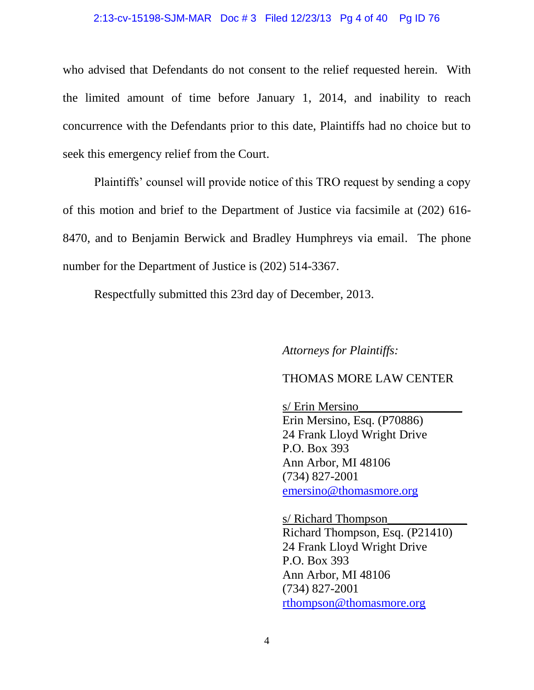#### 2:13-cv-15198-SJM-MAR Doc # 3 Filed 12/23/13 Pg 4 of 40 Pg ID 76

who advised that Defendants do not consent to the relief requested herein. With the limited amount of time before January 1, 2014, and inability to reach concurrence with the Defendants prior to this date, Plaintiffs had no choice but to seek this emergency relief from the Court.

Plaintiffs' counsel will provide notice of this TRO request by sending a copy of this motion and brief to the Department of Justice via facsimile at (202) 616- 8470, and to Benjamin Berwick and Bradley Humphreys via email. The phone number for the Department of Justice is (202) 514-3367.

Respectfully submitted this 23rd day of December, 2013.

*Attorneys for Plaintiffs:*

## THOMAS MORE LAW CENTER

s/ Erin Mersino\_\_\_\_\_\_\_\_\_\_\_\_\_\_\_\_\_ Erin Mersino, Esq. (P70886) 24 Frank Lloyd Wright Drive P.O. Box 393 Ann Arbor, MI 48106 (734) 827-2001 [emersino@thomasmore.org](mailto:emersino@thomasmore.org)

s/ Richard Thompson Richard Thompson, Esq. (P21410) 24 Frank Lloyd Wright Drive P.O. Box 393 Ann Arbor, MI 48106 (734) 827-2001 [rthompson@thomasmore.org](mailto:rthompson@thomasmore.org)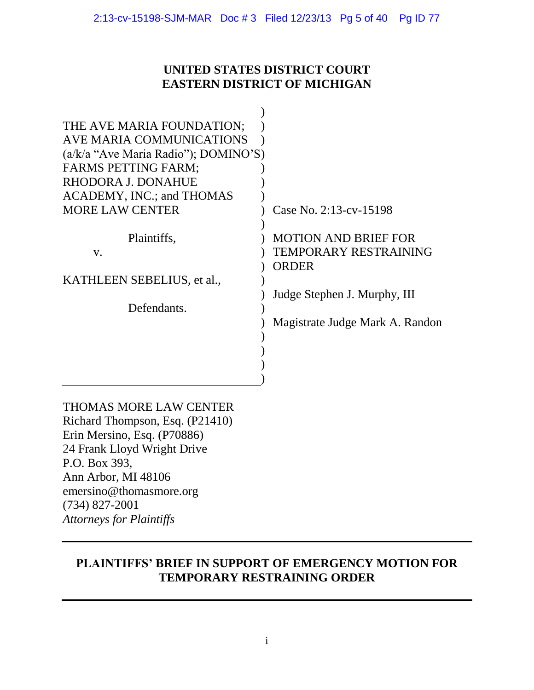# **UNITED STATES DISTRICT COURT EASTERN DISTRICT OF MICHIGAN**

| THE AVE MARIA FOUNDATION;              |                                 |
|----------------------------------------|---------------------------------|
| AVE MARIA COMMUNICATIONS               |                                 |
| $(a/k/a$ "Ave Maria Radio"); DOMINO'S) |                                 |
| <b>FARMS PETTING FARM;</b>             |                                 |
| RHODORA J. DONAHUE                     |                                 |
| ACADEMY, INC.; and THOMAS              |                                 |
| <b>MORE LAW CENTER</b>                 | Case No. 2:13-cv-15198          |
|                                        |                                 |
| Plaintiffs,                            | <b>MOTION AND BRIEF FOR</b>     |
| $V_{\star}$                            | TEMPORARY RESTRAINING           |
|                                        | <b>ORDER</b>                    |
| KATHLEEN SEBELIUS, et al.,             |                                 |
|                                        | Judge Stephen J. Murphy, III    |
| Defendants.                            |                                 |
|                                        | Magistrate Judge Mark A. Randon |
|                                        |                                 |
|                                        |                                 |
|                                        |                                 |
|                                        |                                 |
|                                        |                                 |

THOMAS MORE LAW CENTER Richard Thompson, Esq. (P21410) Erin Mersino, Esq. (P70886) 24 Frank Lloyd Wright Drive P.O. Box 393, Ann Arbor, MI 48106 emersino@thomasmore.org (734) 827-2001 *Attorneys for Plaintiffs*

# **PLAINTIFFS' BRIEF IN SUPPORT OF EMERGENCY MOTION FOR TEMPORARY RESTRAINING ORDER**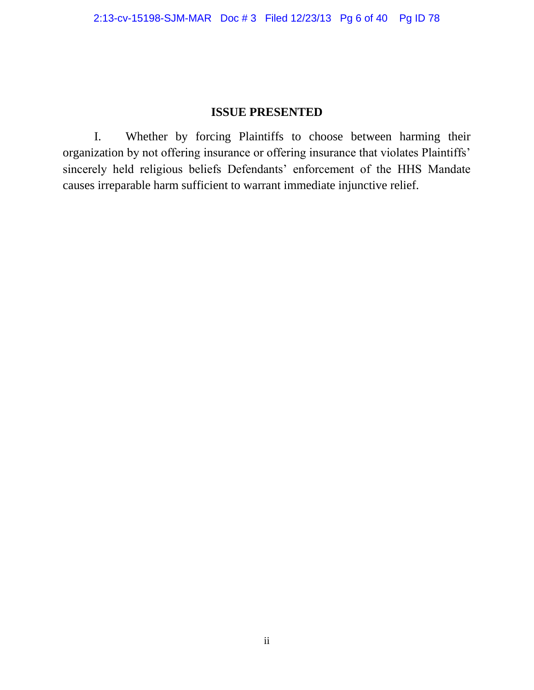# **ISSUE PRESENTED**

I. Whether by forcing Plaintiffs to choose between harming their organization by not offering insurance or offering insurance that violates Plaintiffs' sincerely held religious beliefs Defendants' enforcement of the HHS Mandate causes irreparable harm sufficient to warrant immediate injunctive relief.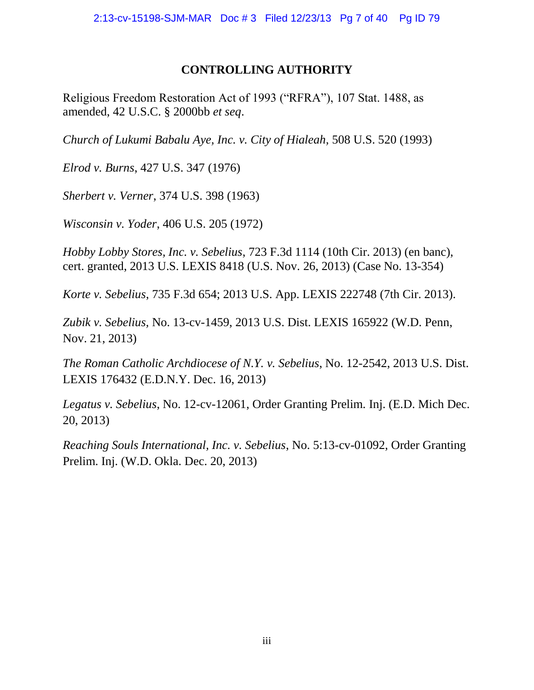# **CONTROLLING AUTHORITY**

Religious Freedom Restoration Act of 1993 ("RFRA"), 107 Stat. 1488, as amended, 42 U.S.C. § 2000bb *et seq*.

*Church of Lukumi Babalu Aye, Inc. v. City of Hialeah,* 508 U.S. 520 (1993)

*Elrod v. Burns*, 427 U.S. 347 (1976)

*Sherbert v. Verner*, 374 U.S. 398 (1963)

*Wisconsin v. Yoder*, 406 U.S. 205 (1972)

*Hobby Lobby Stores, Inc. v. Sebelius*, 723 F.3d 1114 (10th Cir. 2013) (en banc), cert. granted, 2013 U.S. LEXIS 8418 (U.S. Nov. 26, 2013) (Case No. 13-354)

*Korte v. Sebelius*, 735 F.3d 654; 2013 U.S. App. LEXIS 222748 (7th Cir. 2013).

*Zubik v. Sebelius,* No. 13-cv-1459, 2013 U.S. Dist. LEXIS 165922 (W.D. Penn, Nov. 21, 2013)

*The Roman Catholic Archdiocese of N.Y. v. Sebelius*, No. 12-2542, 2013 U.S. Dist. LEXIS 176432 (E.D.N.Y. Dec. 16, 2013)

*Legatus v. Sebelius*, No. 12-cv-12061, Order Granting Prelim. Inj. (E.D. Mich Dec. 20, 2013)

*Reaching Souls International, Inc. v. Sebelius*, No. 5:13-cv-01092, Order Granting Prelim. Inj. (W.D. Okla. Dec. 20, 2013)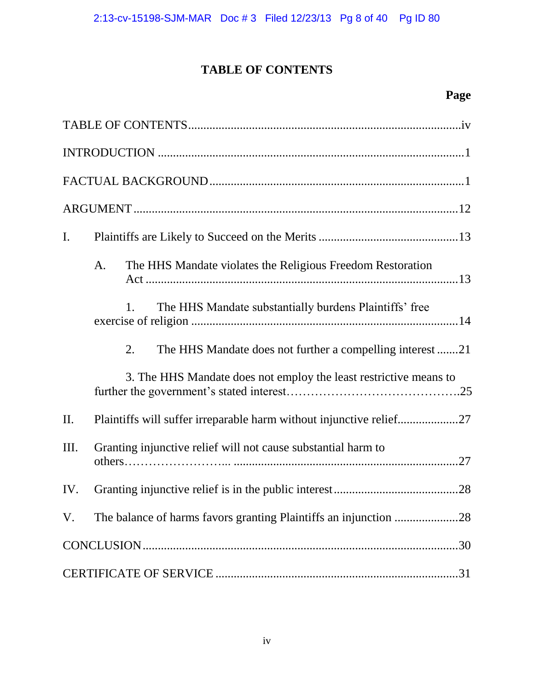# **TABLE OF CONTENTS**

# **Page**

| $\mathbf{I}$ .                                                        |  |
|-----------------------------------------------------------------------|--|
| A.<br>The HHS Mandate violates the Religious Freedom Restoration      |  |
| The HHS Mandate substantially burdens Plaintiffs' free<br>1.          |  |
| The HHS Mandate does not further a compelling interest 21<br>2.       |  |
| 3. The HHS Mandate does not employ the least restrictive means to     |  |
| II.                                                                   |  |
| III.<br>Granting injunctive relief will not cause substantial harm to |  |
| .28<br>IV.                                                            |  |
| V.                                                                    |  |
|                                                                       |  |
|                                                                       |  |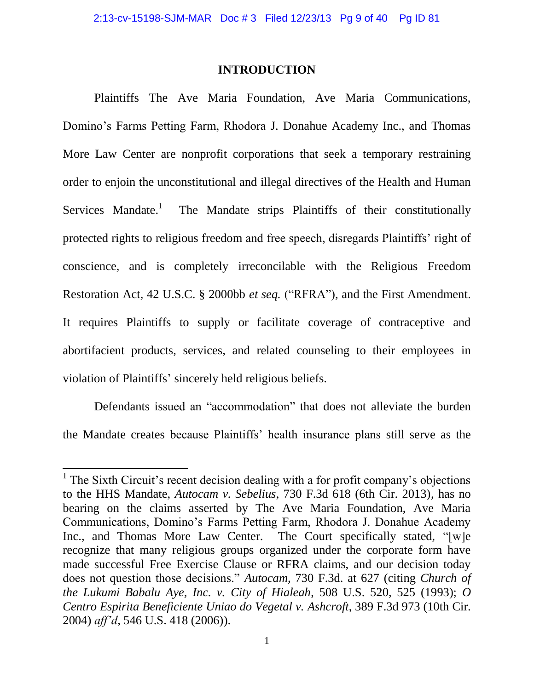## **INTRODUCTION**

Plaintiffs The Ave Maria Foundation, Ave Maria Communications, Domino's Farms Petting Farm, Rhodora J. Donahue Academy Inc., and Thomas More Law Center are nonprofit corporations that seek a temporary restraining order to enjoin the unconstitutional and illegal directives of the Health and Human Services Mandate.<sup>1</sup> The Mandate strips Plaintiffs of their constitutionally protected rights to religious freedom and free speech, disregards Plaintiffs' right of conscience, and is completely irreconcilable with the Religious Freedom Restoration Act, 42 U.S.C. § 2000bb *et seq.* ("RFRA"), and the First Amendment. It requires Plaintiffs to supply or facilitate coverage of contraceptive and abortifacient products, services, and related counseling to their employees in violation of Plaintiffs' sincerely held religious beliefs.

Defendants issued an "accommodation" that does not alleviate the burden the Mandate creates because Plaintiffs' health insurance plans still serve as the

 $\overline{\phantom{a}}$ 

<sup>&</sup>lt;sup>1</sup> The Sixth Circuit's recent decision dealing with a for profit company's objections to the HHS Mandate, *Autocam v. Sebelius*, 730 F.3d 618 (6th Cir. 2013), has no bearing on the claims asserted by The Ave Maria Foundation, Ave Maria Communications, Domino's Farms Petting Farm, Rhodora J. Donahue Academy Inc., and Thomas More Law Center. The Court specifically stated, "[w]e recognize that many religious groups organized under the corporate form have made successful Free Exercise Clause or RFRA claims, and our decision today does not question those decisions." *Autocam,* 730 F.3d. at 627 (citing *Church of the Lukumi Babalu Aye, Inc. v. City of Hialeah*, 508 U.S. 520, 525 (1993); *O Centro Espirita Beneficiente Uniao do Vegetal v. Ashcroft*, 389 F.3d 973 (10th Cir. 2004) *aff'd*, 546 U.S. 418 (2006)).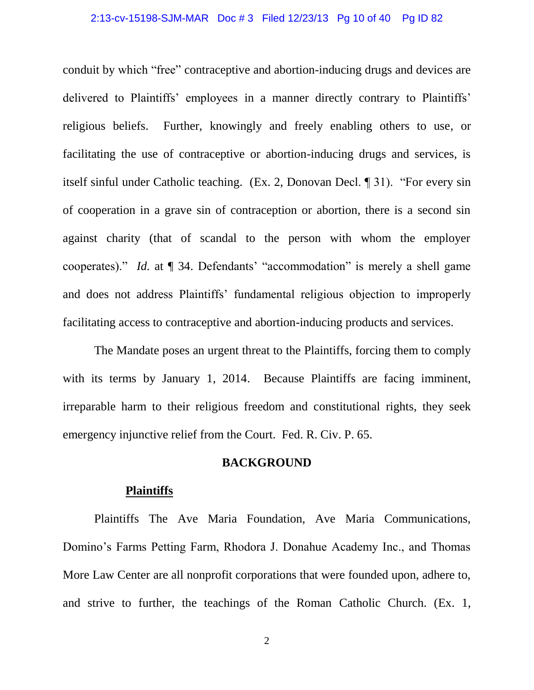#### 2:13-cv-15198-SJM-MAR Doc # 3 Filed 12/23/13 Pg 10 of 40 Pg ID 82

conduit by which "free" contraceptive and abortion-inducing drugs and devices are delivered to Plaintiffs' employees in a manner directly contrary to Plaintiffs' religious beliefs. Further, knowingly and freely enabling others to use, or facilitating the use of contraceptive or abortion-inducing drugs and services, is itself sinful under Catholic teaching. (Ex. 2, Donovan Decl. ¶ 31). "For every sin of cooperation in a grave sin of contraception or abortion, there is a second sin against charity (that of scandal to the person with whom the employer cooperates)." *Id.* at  $\P$  34. Defendants' "accommodation" is merely a shell game and does not address Plaintiffs' fundamental religious objection to improperly facilitating access to contraceptive and abortion-inducing products and services.

The Mandate poses an urgent threat to the Plaintiffs, forcing them to comply with its terms by January 1, 2014. Because Plaintiffs are facing imminent, irreparable harm to their religious freedom and constitutional rights, they seek emergency injunctive relief from the Court. Fed. R. Civ. P. 65.

## **BACKGROUND**

#### **Plaintiffs**

Plaintiffs The Ave Maria Foundation, Ave Maria Communications, Domino's Farms Petting Farm, Rhodora J. Donahue Academy Inc., and Thomas More Law Center are all nonprofit corporations that were founded upon, adhere to, and strive to further, the teachings of the Roman Catholic Church. (Ex. 1,

2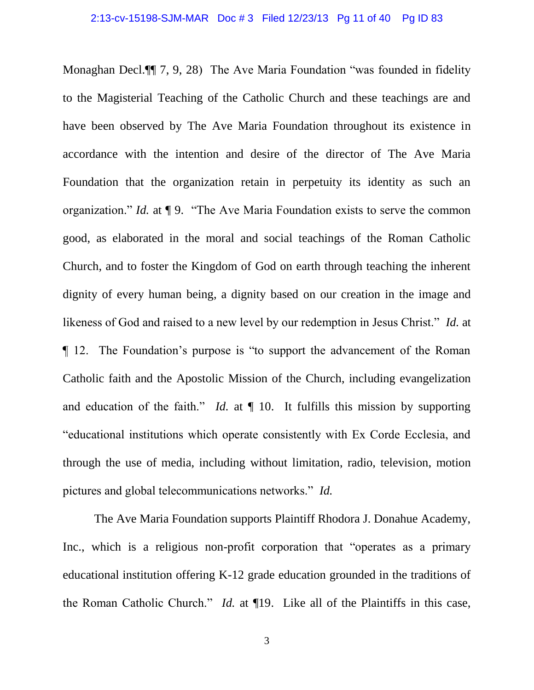Monaghan Decl.¶¶ 7, 9, 28) The Ave Maria Foundation "was founded in fidelity to the Magisterial Teaching of the Catholic Church and these teachings are and have been observed by The Ave Maria Foundation throughout its existence in accordance with the intention and desire of the director of The Ave Maria Foundation that the organization retain in perpetuity its identity as such an organization." *Id.* at ¶ 9. "The Ave Maria Foundation exists to serve the common good, as elaborated in the moral and social teachings of the Roman Catholic Church, and to foster the Kingdom of God on earth through teaching the inherent dignity of every human being, a dignity based on our creation in the image and likeness of God and raised to a new level by our redemption in Jesus Christ." *Id.* at ¶ 12. The Foundation's purpose is "to support the advancement of the Roman Catholic faith and the Apostolic Mission of the Church, including evangelization and education of the faith." *Id.* at ¶ 10. It fulfills this mission by supporting "educational institutions which operate consistently with Ex Corde Ecclesia, and through the use of media, including without limitation, radio, television, motion pictures and global telecommunications networks." *Id.*

The Ave Maria Foundation supports Plaintiff Rhodora J. Donahue Academy, Inc., which is a religious non-profit corporation that "operates as a primary educational institution offering K-12 grade education grounded in the traditions of the Roman Catholic Church." *Id.* at ¶19. Like all of the Plaintiffs in this case,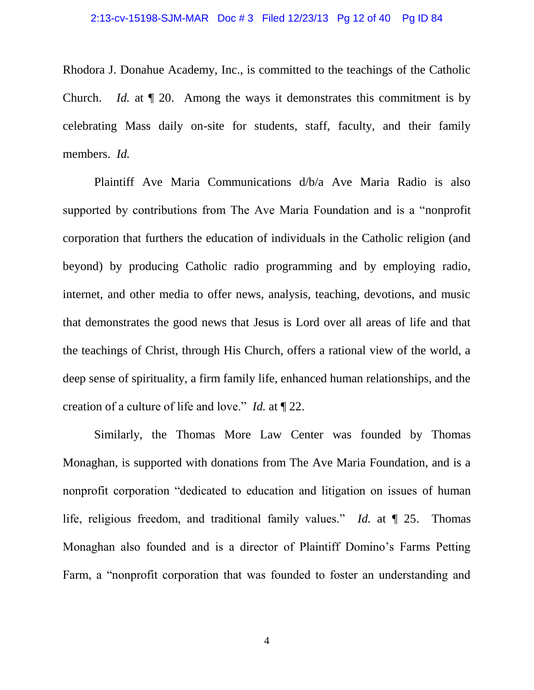#### 2:13-cv-15198-SJM-MAR Doc # 3 Filed 12/23/13 Pg 12 of 40 Pg ID 84

Rhodora J. Donahue Academy, Inc., is committed to the teachings of the Catholic Church. *Id.* at ¶ 20. Among the ways it demonstrates this commitment is by celebrating Mass daily on-site for students, staff, faculty, and their family members. *Id.*

Plaintiff Ave Maria Communications d/b/a Ave Maria Radio is also supported by contributions from The Ave Maria Foundation and is a "nonprofit corporation that furthers the education of individuals in the Catholic religion (and beyond) by producing Catholic radio programming and by employing radio, internet, and other media to offer news, analysis, teaching, devotions, and music that demonstrates the good news that Jesus is Lord over all areas of life and that the teachings of Christ, through His Church, offers a rational view of the world, a deep sense of spirituality, a firm family life, enhanced human relationships, and the creation of a culture of life and love." *Id.* at ¶ 22.

Similarly, the Thomas More Law Center was founded by Thomas Monaghan, is supported with donations from The Ave Maria Foundation, and is a nonprofit corporation "dedicated to education and litigation on issues of human life, religious freedom, and traditional family values." *Id.* at ¶ 25. Thomas Monaghan also founded and is a director of Plaintiff Domino's Farms Petting Farm, a "nonprofit corporation that was founded to foster an understanding and

4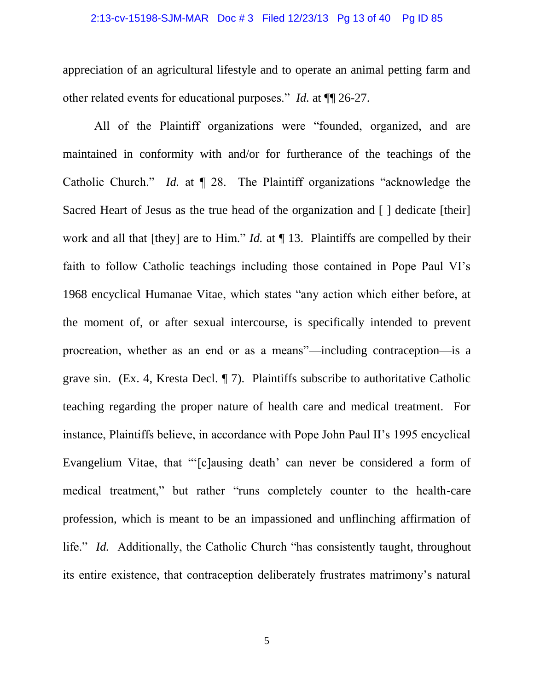#### 2:13-cv-15198-SJM-MAR Doc # 3 Filed 12/23/13 Pg 13 of 40 Pg ID 85

appreciation of an agricultural lifestyle and to operate an animal petting farm and other related events for educational purposes." *Id.* at ¶¶ 26-27.

All of the Plaintiff organizations were "founded, organized, and are maintained in conformity with and/or for furtherance of the teachings of the Catholic Church." *Id.* at ¶ 28. The Plaintiff organizations "acknowledge the Sacred Heart of Jesus as the true head of the organization and [ ] dedicate [their] work and all that [they] are to Him." *Id.* at ¶ 13. Plaintiffs are compelled by their faith to follow Catholic teachings including those contained in Pope Paul VI's 1968 encyclical Humanae Vitae, which states "any action which either before, at the moment of, or after sexual intercourse, is specifically intended to prevent procreation, whether as an end or as a means"—including contraception—is a grave sin. (Ex. 4, Kresta Decl. ¶ 7). Plaintiffs subscribe to authoritative Catholic teaching regarding the proper nature of health care and medical treatment. For instance, Plaintiffs believe, in accordance with Pope John Paul II's 1995 encyclical Evangelium Vitae, that "'[c]ausing death' can never be considered a form of medical treatment," but rather "runs completely counter to the health-care profession, which is meant to be an impassioned and unflinching affirmation of life." *Id.* Additionally, the Catholic Church "has consistently taught, throughout its entire existence, that contraception deliberately frustrates matrimony's natural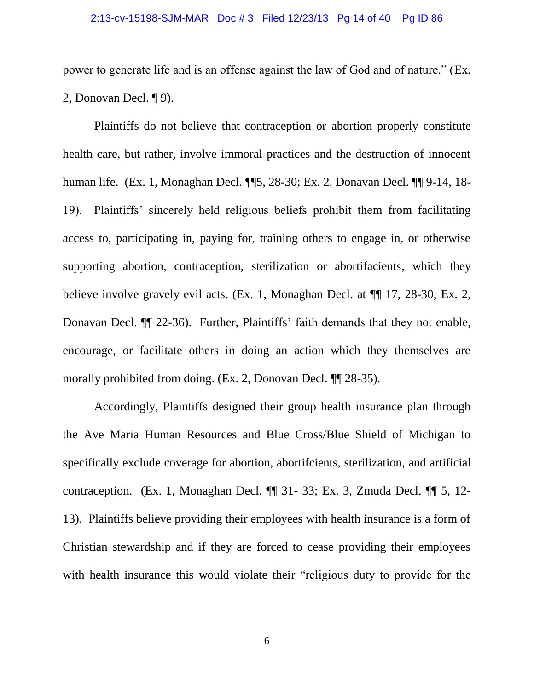#### 2:13-cv-15198-SJM-MAR Doc # 3 Filed 12/23/13 Pg 14 of 40 Pg ID 86

power to generate life and is an offense against the law of God and of nature." (Ex. 2, Donovan Decl. ¶ 9).

Plaintiffs do not believe that contraception or abortion properly constitute health care, but rather, involve immoral practices and the destruction of innocent human life. (Ex. 1, Monaghan Decl. ¶¶5, 28-30; Ex. 2. Donavan Decl. ¶¶ 9-14, 18- 19). Plaintiffs' sincerely held religious beliefs prohibit them from facilitating access to, participating in, paying for, training others to engage in, or otherwise supporting abortion, contraception, sterilization or abortifacients, which they believe involve gravely evil acts. (Ex. 1, Monaghan Decl. at  $\P$  17, 28-30; Ex. 2, Donavan Decl. ¶¶ 22-36). Further, Plaintiffs' faith demands that they not enable, encourage, or facilitate others in doing an action which they themselves are morally prohibited from doing. (Ex. 2, Donovan Decl. ¶¶ 28-35).

Accordingly, Plaintiffs designed their group health insurance plan through the Ave Maria Human Resources and Blue Cross/Blue Shield of Michigan to specifically exclude coverage for abortion, abortificients, sterilization, and artificial contraception. (Ex. 1, Monaghan Decl. ¶¶ 31- 33; Ex. 3, Zmuda Decl. ¶¶ 5, 12- 13). Plaintiffs believe providing their employees with health insurance is a form of Christian stewardship and if they are forced to cease providing their employees with health insurance this would violate their "religious duty to provide for the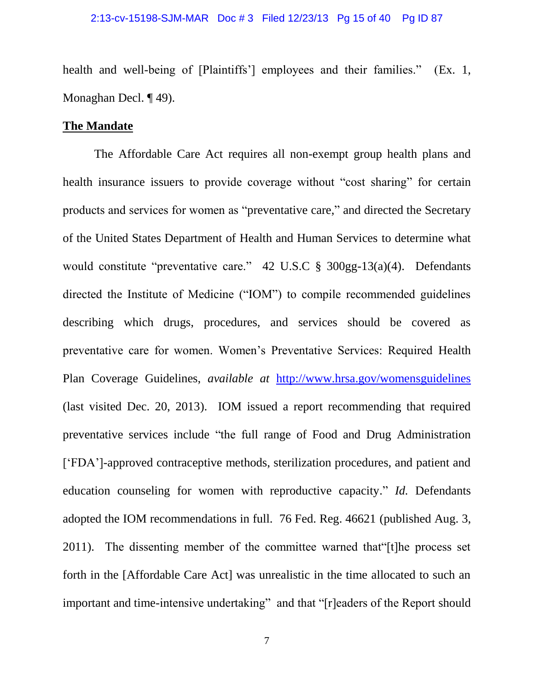health and well-being of [Plaintiffs'] employees and their families." (Ex. 1, Monaghan Decl. ¶ 49).

## **The Mandate**

The Affordable Care Act requires all non-exempt group health plans and health insurance issuers to provide coverage without "cost sharing" for certain products and services for women as "preventative care," and directed the Secretary of the United States Department of Health and Human Services to determine what would constitute "preventative care." 42 U.S.C § 300gg-13(a)(4). Defendants directed the Institute of Medicine ("IOM") to compile recommended guidelines describing which drugs, procedures, and services should be covered as preventative care for women. Women's Preventative Services: Required Health Plan Coverage Guidelines, *available at* <http://www.hrsa.gov/womensguidelines> (last visited Dec. 20, 2013). IOM issued a report recommending that required preventative services include "the full range of Food and Drug Administration ['FDA']-approved contraceptive methods, sterilization procedures, and patient and education counseling for women with reproductive capacity." *Id.* Defendants adopted the IOM recommendations in full. 76 Fed. Reg. 46621 (published Aug. 3, 2011). The dissenting member of the committee warned that"[t]he process set forth in the [Affordable Care Act] was unrealistic in the time allocated to such an important and time-intensive undertaking" and that "[r]eaders of the Report should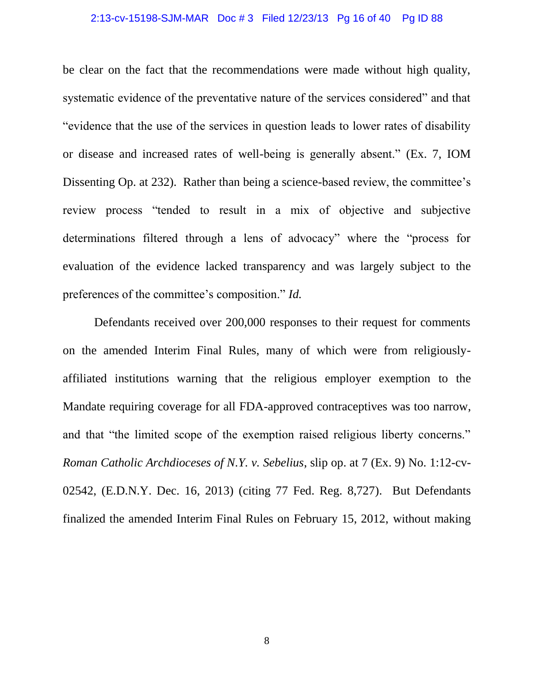#### 2:13-cv-15198-SJM-MAR Doc # 3 Filed 12/23/13 Pg 16 of 40 Pg ID 88

be clear on the fact that the recommendations were made without high quality, systematic evidence of the preventative nature of the services considered" and that "evidence that the use of the services in question leads to lower rates of disability or disease and increased rates of well-being is generally absent." (Ex. 7, IOM Dissenting Op. at 232). Rather than being a science-based review, the committee's review process "tended to result in a mix of objective and subjective determinations filtered through a lens of advocacy" where the "process for evaluation of the evidence lacked transparency and was largely subject to the preferences of the committee's composition." *Id.*

Defendants received over 200,000 responses to their request for comments on the amended Interim Final Rules, many of which were from religiouslyaffiliated institutions warning that the religious employer exemption to the Mandate requiring coverage for all FDA-approved contraceptives was too narrow, and that "the limited scope of the exemption raised religious liberty concerns." *Roman Catholic Archdioceses of N.Y. v. Sebelius*, slip op. at 7 (Ex. 9) No. 1:12-cv-02542, (E.D.N.Y. Dec. 16, 2013) (citing 77 Fed. Reg. 8,727). But Defendants finalized the amended Interim Final Rules on February 15, 2012, without making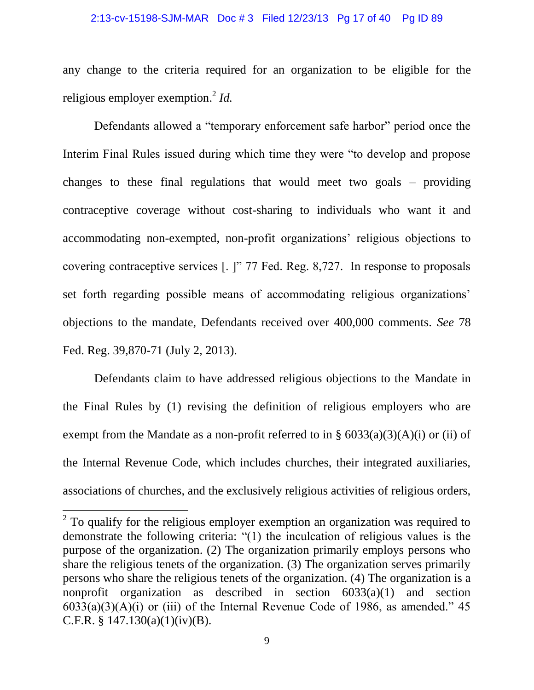#### 2:13-cv-15198-SJM-MAR Doc # 3 Filed 12/23/13 Pg 17 of 40 Pg ID 89

any change to the criteria required for an organization to be eligible for the religious employer exemption. 2 *Id.*

Defendants allowed a "temporary enforcement safe harbor" period once the Interim Final Rules issued during which time they were "to develop and propose changes to these final regulations that would meet two goals – providing contraceptive coverage without cost-sharing to individuals who want it and accommodating non-exempted, non-profit organizations' religious objections to covering contraceptive services [. ]" 77 Fed. Reg. 8,727. In response to proposals set forth regarding possible means of accommodating religious organizations' objections to the mandate, Defendants received over 400,000 comments. *See* 78 Fed. Reg. 39,870-71 (July 2, 2013).

Defendants claim to have addressed religious objections to the Mandate in the Final Rules by (1) revising the definition of religious employers who are exempt from the Mandate as a non-profit referred to in §  $6033(a)(3)(A)(i)$  or (ii) of the Internal Revenue Code, which includes churches, their integrated auxiliaries, associations of churches, and the exclusively religious activities of religious orders,

 $\overline{\phantom{a}}$ 

 $2^{2}$  To qualify for the religious employer exemption an organization was required to demonstrate the following criteria: "(1) the inculcation of religious values is the purpose of the organization. (2) The organization primarily employs persons who share the religious tenets of the organization. (3) The organization serves primarily persons who share the religious tenets of the organization. (4) The organization is a nonprofit organization as described in section 6033(a)(1) and section  $6033(a)(3)(A)(i)$  or (iii) of the Internal Revenue Code of 1986, as amended." 45 C.F.R. § 147.130(a)(1)(iv)(B).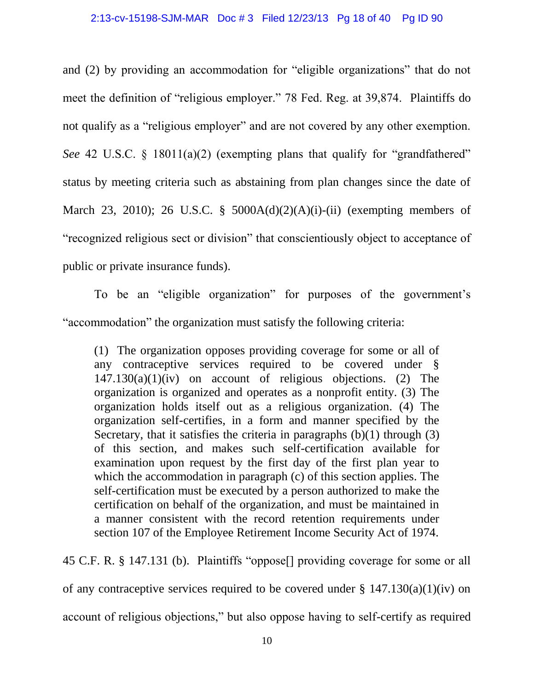and (2) by providing an accommodation for "eligible organizations" that do not meet the definition of "religious employer." 78 Fed. Reg. at 39,874. Plaintiffs do not qualify as a "religious employer" and are not covered by any other exemption. *See* 42 U.S.C. § 18011(a)(2) (exempting plans that qualify for "grandfathered" status by meeting criteria such as abstaining from plan changes since the date of March 23, 2010); 26 U.S.C. §  $5000A(d)(2)(A)(i)$ -(ii) (exempting members of "recognized religious sect or division" that conscientiously object to acceptance of public or private insurance funds).

To be an "eligible organization" for purposes of the government's "accommodation" the organization must satisfy the following criteria:

(1) The organization opposes providing coverage for some or all of any contraceptive services required to be covered under §  $147.130(a)(1)(iv)$  on account of religious objections. (2) The organization is organized and operates as a nonprofit entity. (3) The organization holds itself out as a religious organization. (4) The organization self-certifies, in a form and manner specified by the Secretary, that it satisfies the criteria in paragraphs  $(b)(1)$  through  $(3)$ of this section, and makes such self-certification available for examination upon request by the first day of the first plan year to which the accommodation in paragraph (c) of this section applies. The self-certification must be executed by a person authorized to make the certification on behalf of the organization, and must be maintained in a manner consistent with the record retention requirements under section 107 of the Employee Retirement Income Security Act of 1974.

45 C.F. R. § 147.131 (b). Plaintiffs "oppose[] providing coverage for some or all

of any contraceptive services required to be covered under  $\S 147.130(a)(1)(iv)$  on

account of religious objections," but also oppose having to self-certify as required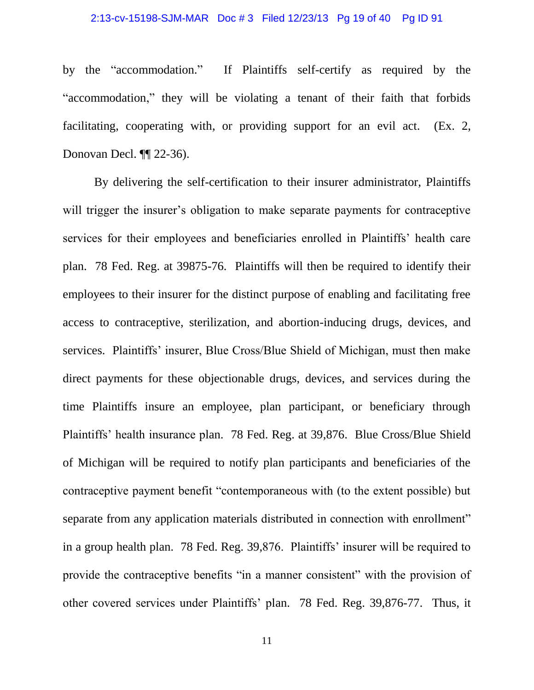#### 2:13-cv-15198-SJM-MAR Doc # 3 Filed 12/23/13 Pg 19 of 40 Pg ID 91

by the "accommodation." If Plaintiffs self-certify as required by the "accommodation," they will be violating a tenant of their faith that forbids facilitating, cooperating with, or providing support for an evil act. (Ex. 2, Donovan Decl. ¶¶ 22-36).

By delivering the self-certification to their insurer administrator, Plaintiffs will trigger the insurer's obligation to make separate payments for contraceptive services for their employees and beneficiaries enrolled in Plaintiffs' health care plan. 78 Fed. Reg. at 39875-76. Plaintiffs will then be required to identify their employees to their insurer for the distinct purpose of enabling and facilitating free access to contraceptive, sterilization, and abortion-inducing drugs, devices, and services. Plaintiffs' insurer, Blue Cross/Blue Shield of Michigan, must then make direct payments for these objectionable drugs, devices, and services during the time Plaintiffs insure an employee, plan participant, or beneficiary through Plaintiffs' health insurance plan. 78 Fed. Reg. at 39,876. Blue Cross/Blue Shield of Michigan will be required to notify plan participants and beneficiaries of the contraceptive payment benefit "contemporaneous with (to the extent possible) but separate from any application materials distributed in connection with enrollment" in a group health plan. 78 Fed. Reg. 39,876. Plaintiffs' insurer will be required to provide the contraceptive benefits "in a manner consistent" with the provision of other covered services under Plaintiffs' plan. 78 Fed. Reg. 39,876-77. Thus, it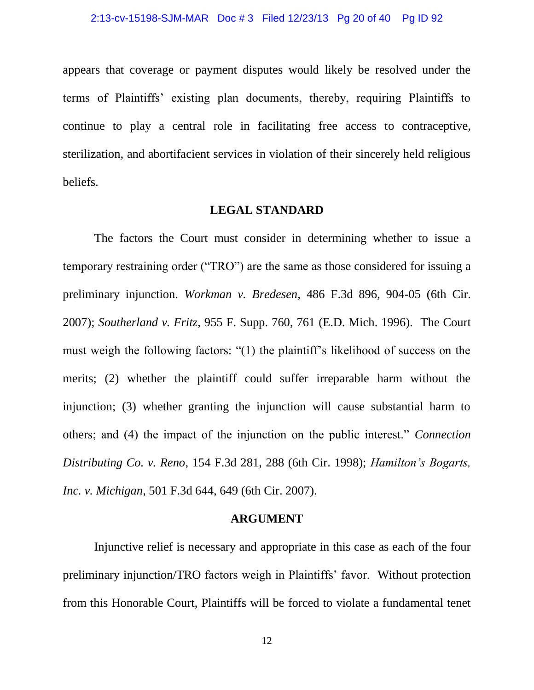appears that coverage or payment disputes would likely be resolved under the terms of Plaintiffs' existing plan documents, thereby, requiring Plaintiffs to continue to play a central role in facilitating free access to contraceptive, sterilization, and abortifacient services in violation of their sincerely held religious beliefs.

### **LEGAL STANDARD**

The factors the Court must consider in determining whether to issue a temporary restraining order ("TRO") are the same as those considered for issuing a preliminary injunction. *Workman v. Bredesen,* 486 F.3d 896, 904-05 (6th Cir. 2007); *Southerland v. Fritz*, 955 F. Supp. 760, 761 (E.D. Mich. 1996). The Court must weigh the following factors: "(1) the plaintiff's likelihood of success on the merits; (2) whether the plaintiff could suffer irreparable harm without the injunction; (3) whether granting the injunction will cause substantial harm to others; and (4) the impact of the injunction on the public interest." *Connection Distributing Co. v. Reno*, 154 F.3d 281, 288 (6th Cir. 1998); *Hamilton's Bogarts, Inc. v. Michigan*, 501 F.3d 644, 649 (6th Cir. 2007).

## **ARGUMENT**

Injunctive relief is necessary and appropriate in this case as each of the four preliminary injunction/TRO factors weigh in Plaintiffs' favor. Without protection from this Honorable Court, Plaintiffs will be forced to violate a fundamental tenet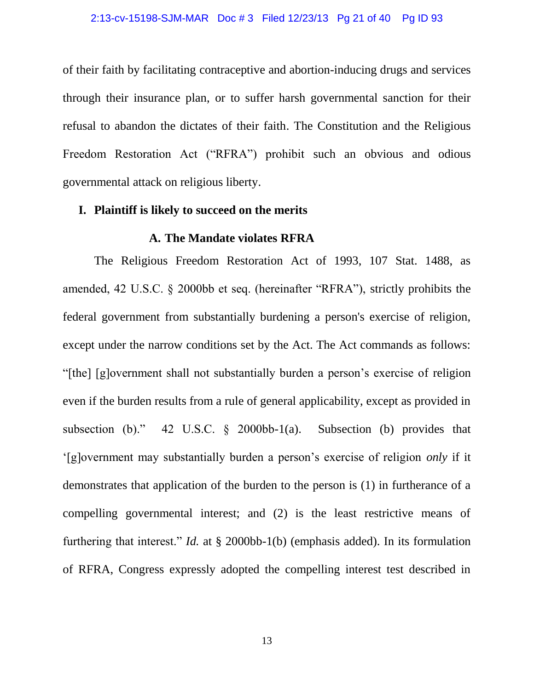of their faith by facilitating contraceptive and abortion-inducing drugs and services through their insurance plan, or to suffer harsh governmental sanction for their refusal to abandon the dictates of their faith. The Constitution and the Religious Freedom Restoration Act ("RFRA") prohibit such an obvious and odious governmental attack on religious liberty.

## **I. Plaintiff is likely to succeed on the merits**

#### **A. The Mandate violates RFRA**

The Religious Freedom Restoration Act of 1993, 107 Stat. 1488, as amended, 42 U.S.C. § 2000bb et seq. (hereinafter "RFRA"), strictly prohibits the federal government from substantially burdening a person's exercise of religion, except under the narrow conditions set by the Act. The Act commands as follows: "[the] [g]overnment shall not substantially burden a person's exercise of religion even if the burden results from a rule of general applicability, except as provided in subsection (b)." 42 U.S.C. § 2000bb-1(a). Subsection (b) provides that '[g]overnment may substantially burden a person's exercise of religion *only* if it demonstrates that application of the burden to the person is (1) in furtherance of a compelling governmental interest; and (2) is the least restrictive means of furthering that interest." *Id.* at § 2000bb-1(b) (emphasis added). In its formulation of RFRA, Congress expressly adopted the compelling interest test described in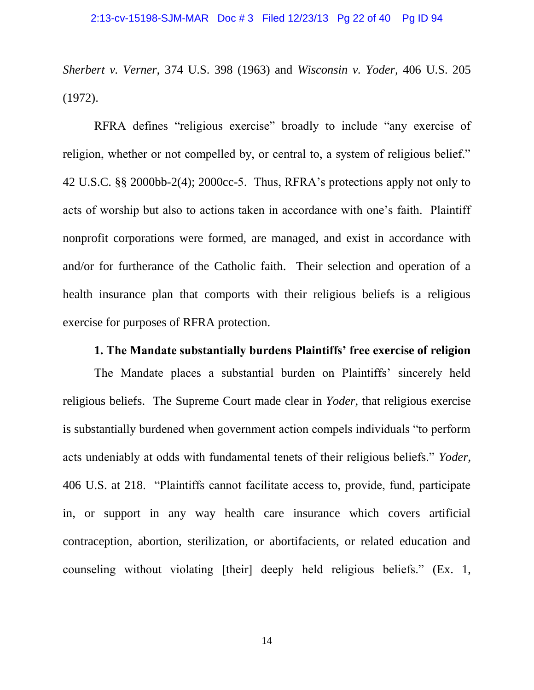*Sherbert v. Verner,* 374 U.S. 398 (1963) and *Wisconsin v. Yoder,* 406 U.S. 205 (1972).

RFRA defines "religious exercise" broadly to include "any exercise of religion, whether or not compelled by, or central to, a system of religious belief." 42 U.S.C. §§ 2000bb-2(4); 2000cc-5. Thus, RFRA's protections apply not only to acts of worship but also to actions taken in accordance with one's faith. Plaintiff nonprofit corporations were formed, are managed, and exist in accordance with and/or for furtherance of the Catholic faith. Their selection and operation of a health insurance plan that comports with their religious beliefs is a religious exercise for purposes of RFRA protection.

## **1. The Mandate substantially burdens Plaintiffs' free exercise of religion**

The Mandate places a substantial burden on Plaintiffs' sincerely held religious beliefs. The Supreme Court made clear in *Yoder*, that religious exercise is substantially burdened when government action compels individuals "to perform acts undeniably at odds with fundamental tenets of their religious beliefs." *Yoder*, 406 U.S. at 218. "Plaintiffs cannot facilitate access to, provide, fund, participate in, or support in any way health care insurance which covers artificial contraception, abortion, sterilization, or abortifacients, or related education and counseling without violating [their] deeply held religious beliefs." (Ex. 1,

14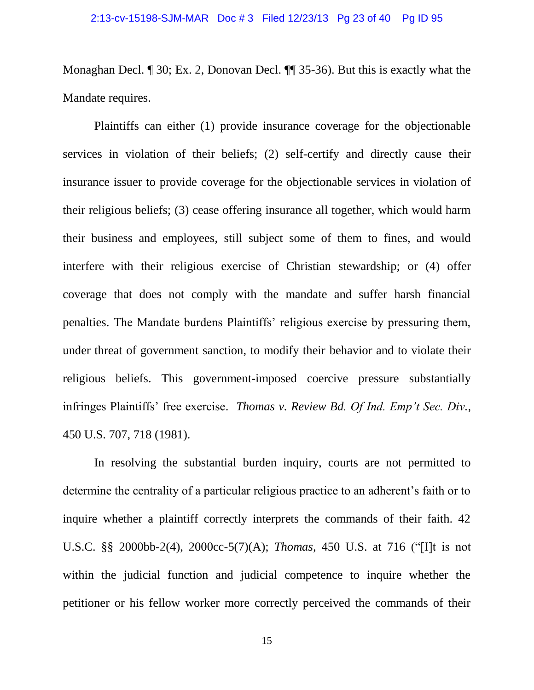Monaghan Decl. ¶ 30; Ex. 2, Donovan Decl. ¶¶ 35-36). But this is exactly what the Mandate requires.

Plaintiffs can either (1) provide insurance coverage for the objectionable services in violation of their beliefs; (2) self-certify and directly cause their insurance issuer to provide coverage for the objectionable services in violation of their religious beliefs; (3) cease offering insurance all together, which would harm their business and employees, still subject some of them to fines, and would interfere with their religious exercise of Christian stewardship; or (4) offer coverage that does not comply with the mandate and suffer harsh financial penalties. The Mandate burdens Plaintiffs' religious exercise by pressuring them, under threat of government sanction, to modify their behavior and to violate their religious beliefs. This government-imposed coercive pressure substantially infringes Plaintiffs' free exercise. *Thomas v. Review Bd. Of Ind. Emp't Sec. Div.,* 450 U.S. 707, 718 (1981).

In resolving the substantial burden inquiry, courts are not permitted to determine the centrality of a particular religious practice to an adherent's faith or to inquire whether a plaintiff correctly interprets the commands of their faith. 42 U.S.C. §§ 2000bb-2(4), 2000cc-5(7)(A); *Thomas*, 450 U.S. at 716 ("[I]t is not within the judicial function and judicial competence to inquire whether the petitioner or his fellow worker more correctly perceived the commands of their

15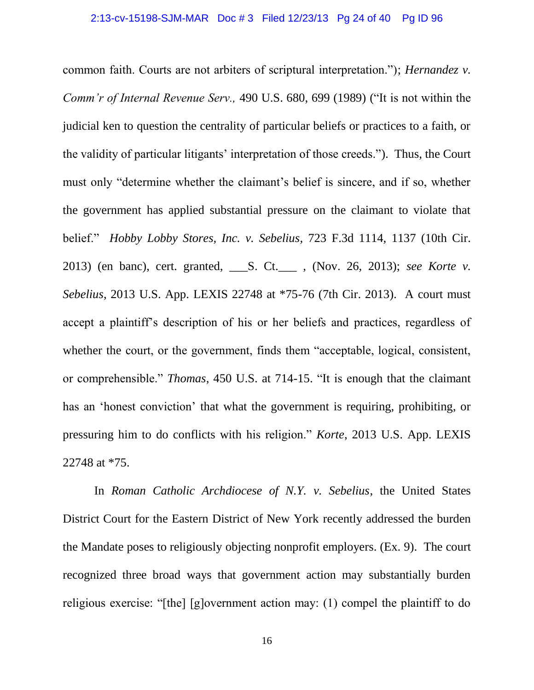common faith. Courts are not arbiters of scriptural interpretation."); *Hernandez v. Comm'r of Internal Revenue Serv.,* 490 U.S. 680, 699 (1989) ("It is not within the judicial ken to question the centrality of particular beliefs or practices to a faith, or the validity of particular litigants' interpretation of those creeds."). Thus, the Court must only "determine whether the claimant's belief is sincere, and if so, whether the government has applied substantial pressure on the claimant to violate that belief." *Hobby Lobby Stores, Inc. v. Sebelius*, 723 F.3d 1114, 1137 (10th Cir. 2013) (en banc), cert. granted, \_\_\_S. Ct.\_\_\_ , (Nov. 26, 2013); *see Korte v. Sebelius*, 2013 U.S. App. LEXIS 22748 at \*75-76 (7th Cir. 2013). A court must accept a plaintiff's description of his or her beliefs and practices, regardless of whether the court, or the government, finds them "acceptable, logical, consistent, or comprehensible." *Thomas*, 450 U.S. at 714-15. "It is enough that the claimant has an 'honest conviction' that what the government is requiring, prohibiting, or pressuring him to do conflicts with his religion." *Korte*, 2013 U.S. App. LEXIS 22748 at \*75.

In *Roman Catholic Archdiocese of N.Y. v. Sebelius*, the United States District Court for the Eastern District of New York recently addressed the burden the Mandate poses to religiously objecting nonprofit employers. (Ex. 9). The court recognized three broad ways that government action may substantially burden religious exercise: "[the] [g]overnment action may: (1) compel the plaintiff to do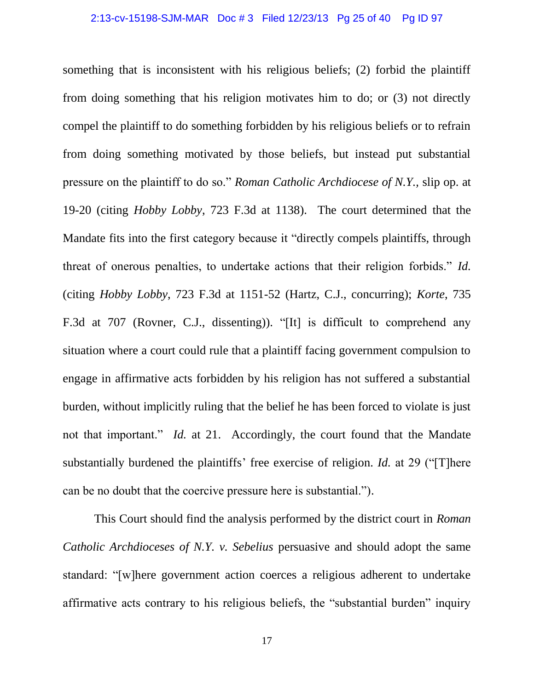something that is inconsistent with his religious beliefs; (2) forbid the plaintiff from doing something that his religion motivates him to do; or (3) not directly compel the plaintiff to do something forbidden by his religious beliefs or to refrain from doing something motivated by those beliefs, but instead put substantial pressure on the plaintiff to do so." *Roman Catholic Archdiocese of N.Y.,* slip op. at 19-20 (citing *Hobby Lobby*, 723 F.3d at 1138). The court determined that the Mandate fits into the first category because it "directly compels plaintiffs, through threat of onerous penalties, to undertake actions that their religion forbids." *Id.* (citing *Hobby Lobby*, 723 F.3d at 1151-52 (Hartz, C.J., concurring); *Korte*, 735 F.3d at 707 (Rovner, C.J., dissenting)). "[It] is difficult to comprehend any situation where a court could rule that a plaintiff facing government compulsion to engage in affirmative acts forbidden by his religion has not suffered a substantial burden, without implicitly ruling that the belief he has been forced to violate is just not that important." *Id.* at 21. Accordingly, the court found that the Mandate substantially burdened the plaintiffs' free exercise of religion. *Id.* at 29 ("[T]here can be no doubt that the coercive pressure here is substantial.").

This Court should find the analysis performed by the district court in *Roman Catholic Archdioceses of N.Y. v. Sebelius* persuasive and should adopt the same standard: "[w]here government action coerces a religious adherent to undertake affirmative acts contrary to his religious beliefs, the "substantial burden" inquiry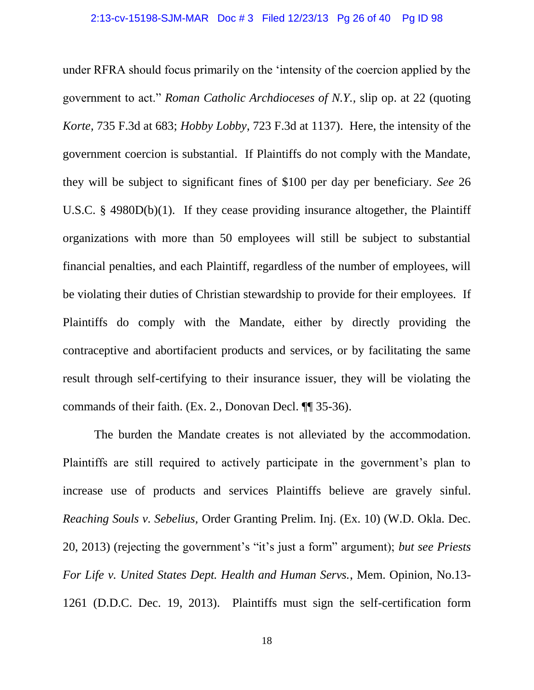under RFRA should focus primarily on the 'intensity of the coercion applied by the government to act." *Roman Catholic Archdioceses of N.Y.,* slip op. at 22 (quoting *Korte,* 735 F.3d at 683; *Hobby Lobby*, 723 F.3d at 1137). Here, the intensity of the government coercion is substantial. If Plaintiffs do not comply with the Mandate, they will be subject to significant fines of \$100 per day per beneficiary. *See* 26 U.S.C. § 4980D(b)(1). If they cease providing insurance altogether, the Plaintiff organizations with more than 50 employees will still be subject to substantial financial penalties, and each Plaintiff, regardless of the number of employees, will be violating their duties of Christian stewardship to provide for their employees. If Plaintiffs do comply with the Mandate, either by directly providing the contraceptive and abortifacient products and services, or by facilitating the same result through self-certifying to their insurance issuer, they will be violating the commands of their faith. (Ex. 2., Donovan Decl. ¶¶ 35-36).

The burden the Mandate creates is not alleviated by the accommodation. Plaintiffs are still required to actively participate in the government's plan to increase use of products and services Plaintiffs believe are gravely sinful. *Reaching Souls v. Sebelius,* Order Granting Prelim. Inj. (Ex. 10) (W.D. Okla. Dec. 20, 2013) (rejecting the government's "it's just a form" argument); *but see Priests For Life v. United States Dept. Health and Human Servs.*, Mem. Opinion, No.13- 1261 (D.D.C. Dec. 19, 2013). Plaintiffs must sign the self-certification form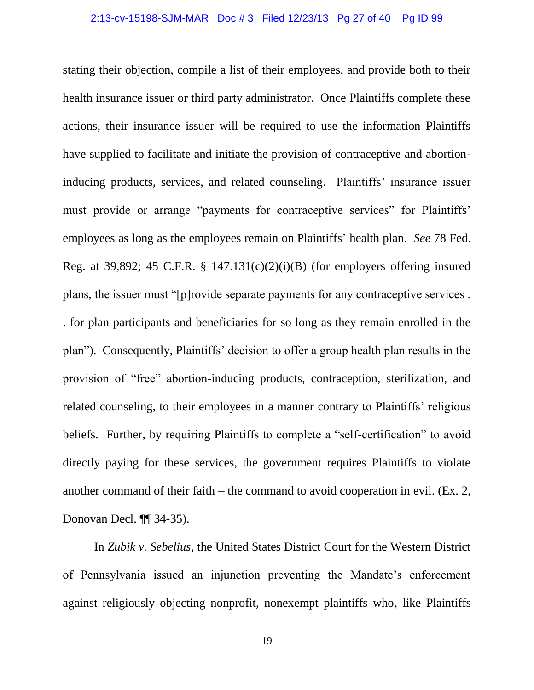stating their objection, compile a list of their employees, and provide both to their health insurance issuer or third party administrator. Once Plaintiffs complete these actions, their insurance issuer will be required to use the information Plaintiffs have supplied to facilitate and initiate the provision of contraceptive and abortioninducing products, services, and related counseling. Plaintiffs' insurance issuer must provide or arrange "payments for contraceptive services" for Plaintiffs' employees as long as the employees remain on Plaintiffs' health plan. *See* 78 Fed. Reg. at 39,892; 45 C.F.R. § 147.131(c)(2)(i)(B) (for employers offering insured plans, the issuer must "[p]rovide separate payments for any contraceptive services . . for plan participants and beneficiaries for so long as they remain enrolled in the plan"). Consequently, Plaintiffs' decision to offer a group health plan results in the provision of "free" abortion-inducing products, contraception, sterilization, and related counseling, to their employees in a manner contrary to Plaintiffs' religious beliefs. Further, by requiring Plaintiffs to complete a "self-certification" to avoid directly paying for these services, the government requires Plaintiffs to violate another command of their faith – the command to avoid cooperation in evil. (Ex. 2, Donovan Decl. ¶¶ 34-35).

In *Zubik v. Sebelius*, the United States District Court for the Western District of Pennsylvania issued an injunction preventing the Mandate's enforcement against religiously objecting nonprofit, nonexempt plaintiffs who, like Plaintiffs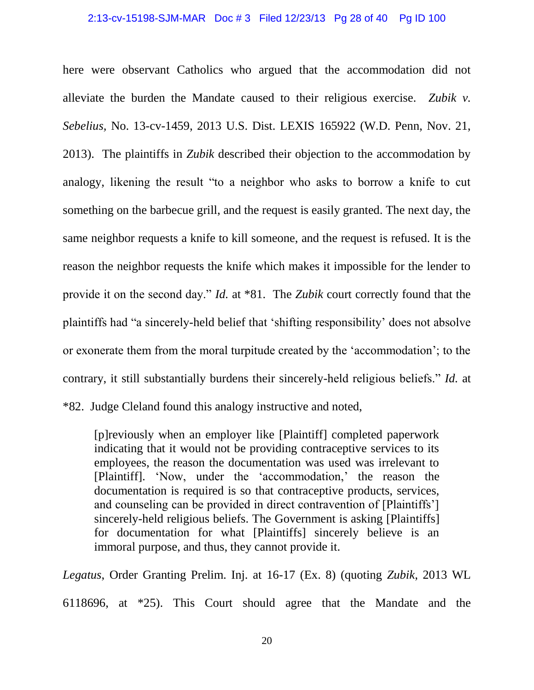#### 2:13-cv-15198-SJM-MAR Doc # 3 Filed 12/23/13 Pg 28 of 40 Pg ID 100

here were observant Catholics who argued that the accommodation did not alleviate the burden the Mandate caused to their religious exercise. *Zubik v. Sebelius,* No. 13-cv-1459, 2013 U.S. Dist. LEXIS 165922 (W.D. Penn, Nov. 21, 2013). The plaintiffs in *Zubik* described their objection to the accommodation by analogy, likening the result "to a neighbor who asks to borrow a knife to cut something on the barbecue grill, and the request is easily granted. The next day, the same neighbor requests a knife to kill someone, and the request is refused. It is the reason the neighbor requests the knife which makes it impossible for the lender to provide it on the second day." *Id.* at \*81. The *Zubik* court correctly found that the plaintiffs had "a sincerely-held belief that 'shifting responsibility' does not absolve or exonerate them from the moral turpitude created by the 'accommodation'; to the contrary, it still substantially burdens their sincerely-held religious beliefs." *Id.* at \*82. Judge Cleland found this analogy instructive and noted,

[p]reviously when an employer like [Plaintiff] completed paperwork indicating that it would not be providing contraceptive services to its employees, the reason the documentation was used was irrelevant to [Plaintiff]. 'Now, under the 'accommodation,' the reason the documentation is required is so that contraceptive products, services, and counseling can be provided in direct contravention of [Plaintiffs'] sincerely-held religious beliefs. The Government is asking [Plaintiffs] for documentation for what [Plaintiffs] sincerely believe is an immoral purpose, and thus, they cannot provide it.

*Legatus*, Order Granting Prelim. Inj. at 16-17 (Ex. 8) (quoting *Zubik*, 2013 WL 6118696, at \*25). This Court should agree that the Mandate and the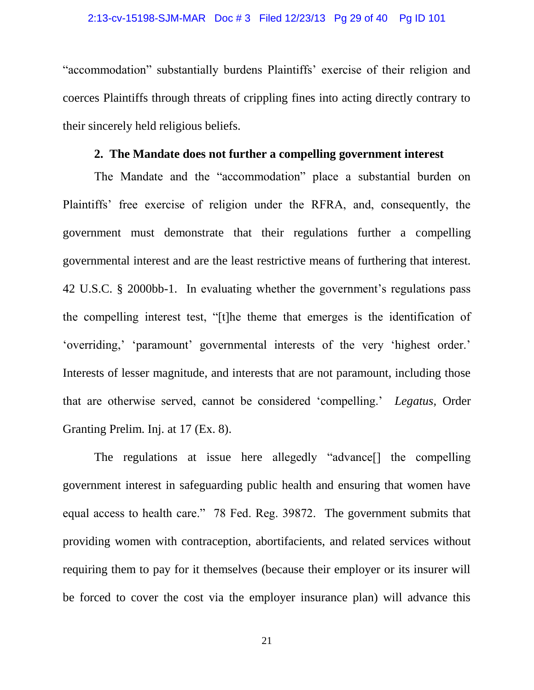"accommodation" substantially burdens Plaintiffs' exercise of their religion and coerces Plaintiffs through threats of crippling fines into acting directly contrary to their sincerely held religious beliefs.

# **2. The Mandate does not further a compelling government interest**

The Mandate and the "accommodation" place a substantial burden on Plaintiffs' free exercise of religion under the RFRA, and, consequently, the government must demonstrate that their regulations further a compelling governmental interest and are the least restrictive means of furthering that interest. 42 U.S.C. § 2000bb-1. In evaluating whether the government's regulations pass the compelling interest test, "[t]he theme that emerges is the identification of 'overriding,' 'paramount' governmental interests of the very 'highest order.' Interests of lesser magnitude, and interests that are not paramount, including those that are otherwise served, cannot be considered 'compelling.' *Legatus,* Order Granting Prelim. Inj. at 17 (Ex. 8).

The regulations at issue here allegedly "advance[] the compelling government interest in safeguarding public health and ensuring that women have equal access to health care." 78 Fed. Reg. 39872. The government submits that providing women with contraception, abortifacients, and related services without requiring them to pay for it themselves (because their employer or its insurer will be forced to cover the cost via the employer insurance plan) will advance this

21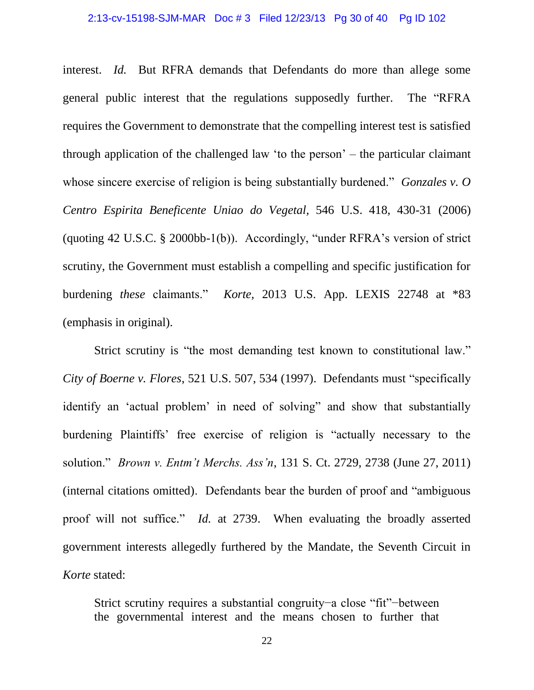interest. *Id.* But RFRA demands that Defendants do more than allege some general public interest that the regulations supposedly further. The "RFRA requires the Government to demonstrate that the compelling interest test is satisfied through application of the challenged law 'to the person' – the particular claimant whose sincere exercise of religion is being substantially burdened." *Gonzales v. O Centro Espirita Beneficente Uniao do Vegetal,* 546 U.S. 418, 430-31 (2006) (quoting 42 U.S.C. § 2000bb-1(b)). Accordingly, "under RFRA's version of strict scrutiny, the Government must establish a compelling and specific justification for burdening *these* claimants." *Korte,* 2013 U.S. App. LEXIS 22748 at \*83 (emphasis in original).

Strict scrutiny is "the most demanding test known to constitutional law." *City of Boerne v. Flores*, 521 U.S. 507, 534 (1997). Defendants must "specifically identify an 'actual problem' in need of solving" and show that substantially burdening Plaintiffs' free exercise of religion is "actually necessary to the solution." *Brown v. Entm't Merchs. Ass'n*, 131 S. Ct. 2729, 2738 (June 27, 2011) (internal citations omitted). Defendants bear the burden of proof and "ambiguous proof will not suffice." *Id.* at 2739. When evaluating the broadly asserted government interests allegedly furthered by the Mandate, the Seventh Circuit in *Korte* stated:

Strict scrutiny requires a substantial congruity−a close "fit"−between the governmental interest and the means chosen to further that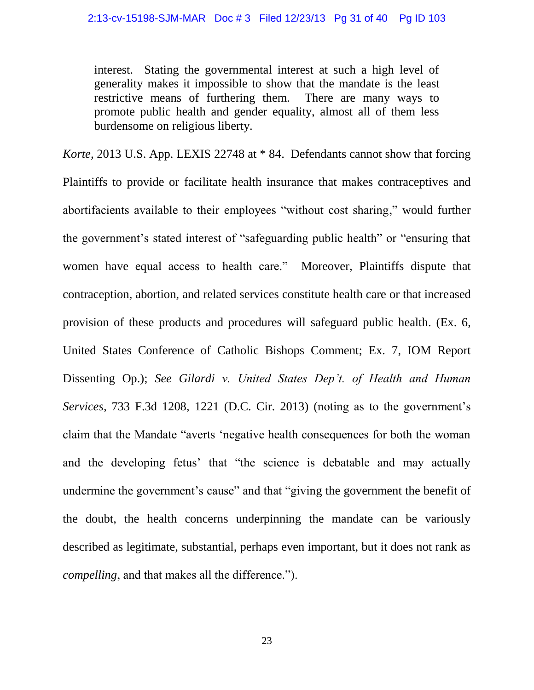interest. Stating the governmental interest at such a high level of generality makes it impossible to show that the mandate is the least restrictive means of furthering them. There are many ways to promote public health and gender equality, almost all of them less burdensome on religious liberty.

*Korte,* 2013 U.S. App. LEXIS 22748 at \* 84. Defendants cannot show that forcing Plaintiffs to provide or facilitate health insurance that makes contraceptives and abortifacients available to their employees "without cost sharing," would further the government's stated interest of "safeguarding public health" or "ensuring that women have equal access to health care." Moreover, Plaintiffs dispute that contraception, abortion, and related services constitute health care or that increased provision of these products and procedures will safeguard public health. (Ex. 6, United States Conference of Catholic Bishops Comment; Ex. 7, IOM Report Dissenting Op.); *See Gilardi v. United States Dep't. of Health and Human Services,* 733 F.3d 1208, 1221 (D.C. Cir. 2013) (noting as to the government's claim that the Mandate "averts 'negative health consequences for both the woman and the developing fetus' that "the science is debatable and may actually undermine the government's cause" and that "giving the government the benefit of the doubt, the health concerns underpinning the mandate can be variously described as legitimate, substantial, perhaps even important, but it does not rank as *compelling*, and that makes all the difference.").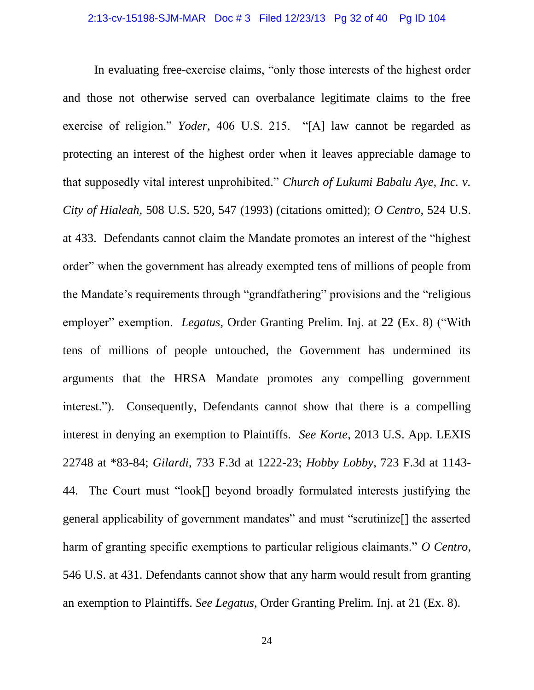In evaluating free-exercise claims, "only those interests of the highest order and those not otherwise served can overbalance legitimate claims to the free exercise of religion." *Yoder,* 406 U.S. 215. "[A] law cannot be regarded as protecting an interest of the highest order when it leaves appreciable damage to that supposedly vital interest unprohibited." *Church of Lukumi Babalu Aye, Inc. v. City of Hialeah,* 508 U.S. 520, 547 (1993) (citations omitted); *O Centro*, 524 U.S. at 433. Defendants cannot claim the Mandate promotes an interest of the "highest order" when the government has already exempted tens of millions of people from the Mandate's requirements through "grandfathering" provisions and the "religious employer" exemption. *Legatus*, Order Granting Prelim. Inj. at 22 (Ex. 8) ("With tens of millions of people untouched, the Government has undermined its arguments that the HRSA Mandate promotes any compelling government interest."). Consequently, Defendants cannot show that there is a compelling interest in denying an exemption to Plaintiffs. *See Korte*, 2013 U.S. App. LEXIS 22748 at \*83-84; *Gilardi,* 733 F.3d at 1222-23; *Hobby Lobby*, 723 F.3d at 1143- 44. The Court must "look[] beyond broadly formulated interests justifying the general applicability of government mandates" and must "scrutinize[] the asserted harm of granting specific exemptions to particular religious claimants." *O Centro*, 546 U.S. at 431. Defendants cannot show that any harm would result from granting an exemption to Plaintiffs. *See Legatus*, Order Granting Prelim. Inj. at 21 (Ex. 8).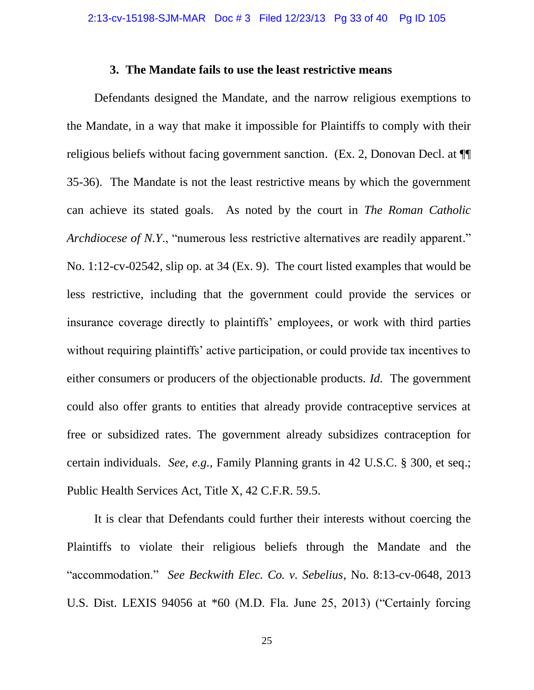#### **3. The Mandate fails to use the least restrictive means**

Defendants designed the Mandate, and the narrow religious exemptions to the Mandate, in a way that make it impossible for Plaintiffs to comply with their religious beliefs without facing government sanction. (Ex. 2, Donovan Decl. at ¶¶ 35-36). The Mandate is not the least restrictive means by which the government can achieve its stated goals. As noted by the court in *The Roman Catholic Archdiocese of N.Y.*, "numerous less restrictive alternatives are readily apparent." No. 1:12-cv-02542, slip op. at 34 (Ex. 9). The court listed examples that would be less restrictive, including that the government could provide the services or insurance coverage directly to plaintiffs' employees, or work with third parties without requiring plaintiffs' active participation, or could provide tax incentives to either consumers or producers of the objectionable products. *Id.* The government could also offer grants to entities that already provide contraceptive services at free or subsidized rates. The government already subsidizes contraception for certain individuals. *See, e.g.,* Family Planning grants in 42 U.S.C. § 300, et seq.; Public Health Services Act, Title X, 42 C.F.R. 59.5.

It is clear that Defendants could further their interests without coercing the Plaintiffs to violate their religious beliefs through the Mandate and the "accommodation." *See Beckwith Elec. Co. v. Sebelius*, No. 8:13-cv-0648, 2013 U.S. Dist. LEXIS 94056 at \*60 (M.D. Fla. June 25, 2013) ("Certainly forcing

25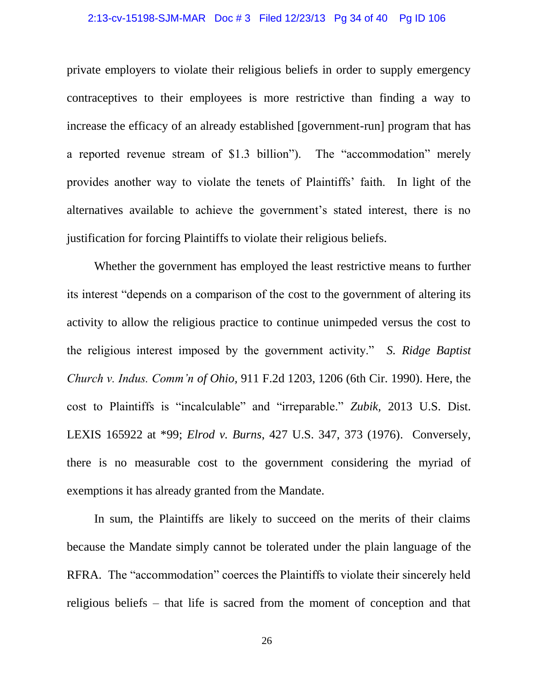#### 2:13-cv-15198-SJM-MAR Doc # 3 Filed 12/23/13 Pg 34 of 40 Pg ID 106

private employers to violate their religious beliefs in order to supply emergency contraceptives to their employees is more restrictive than finding a way to increase the efficacy of an already established [government-run] program that has a reported revenue stream of \$1.3 billion"). The "accommodation" merely provides another way to violate the tenets of Plaintiffs' faith. In light of the alternatives available to achieve the government's stated interest, there is no justification for forcing Plaintiffs to violate their religious beliefs.

Whether the government has employed the least restrictive means to further its interest "depends on a comparison of the cost to the government of altering its activity to allow the religious practice to continue unimpeded versus the cost to the religious interest imposed by the government activity." *S. Ridge Baptist Church v. Indus. Comm'n of Ohio,* 911 F.2d 1203, 1206 (6th Cir. 1990). Here, the cost to Plaintiffs is "incalculable" and "irreparable." *Zubik,* 2013 U.S. Dist. LEXIS 165922 at \*99; *Elrod v. Burns*, 427 U.S. 347, 373 (1976). Conversely, there is no measurable cost to the government considering the myriad of exemptions it has already granted from the Mandate.

In sum, the Plaintiffs are likely to succeed on the merits of their claims because the Mandate simply cannot be tolerated under the plain language of the RFRA. The "accommodation" coerces the Plaintiffs to violate their sincerely held religious beliefs – that life is sacred from the moment of conception and that

26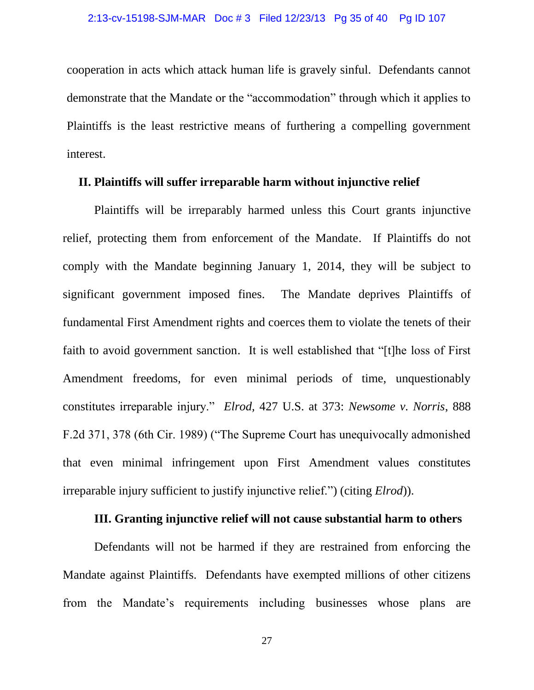cooperation in acts which attack human life is gravely sinful. Defendants cannot demonstrate that the Mandate or the "accommodation" through which it applies to Plaintiffs is the least restrictive means of furthering a compelling government interest.

## **II. Plaintiffs will suffer irreparable harm without injunctive relief**

Plaintiffs will be irreparably harmed unless this Court grants injunctive relief, protecting them from enforcement of the Mandate. If Plaintiffs do not comply with the Mandate beginning January 1, 2014, they will be subject to significant government imposed fines. The Mandate deprives Plaintiffs of fundamental First Amendment rights and coerces them to violate the tenets of their faith to avoid government sanction. It is well established that "[t]he loss of First Amendment freedoms, for even minimal periods of time, unquestionably constitutes irreparable injury." *Elrod,* 427 U.S. at 373: *Newsome v. Norris*, 888 F.2d 371, 378 (6th Cir. 1989) ("The Supreme Court has unequivocally admonished that even minimal infringement upon First Amendment values constitutes irreparable injury sufficient to justify injunctive relief.") (citing *Elrod*)).

## **III. Granting injunctive relief will not cause substantial harm to others**

Defendants will not be harmed if they are restrained from enforcing the Mandate against Plaintiffs. Defendants have exempted millions of other citizens from the Mandate's requirements including businesses whose plans are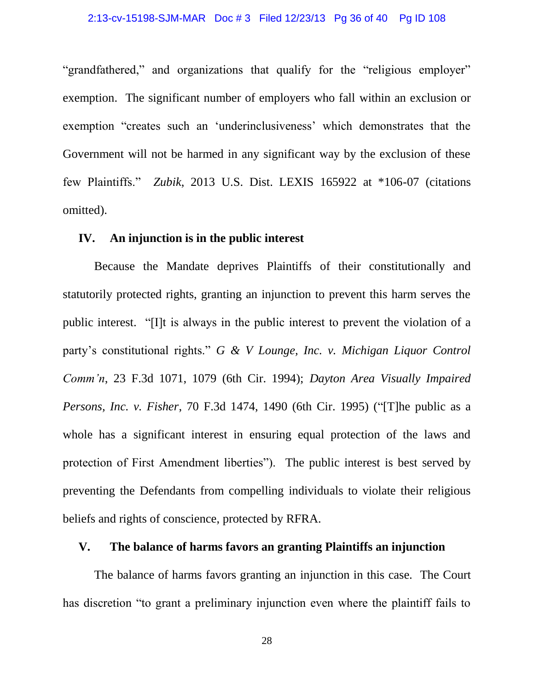"grandfathered," and organizations that qualify for the "religious employer" exemption. The significant number of employers who fall within an exclusion or exemption "creates such an 'underinclusiveness' which demonstrates that the Government will not be harmed in any significant way by the exclusion of these few Plaintiffs." *Zubik*, 2013 U.S. Dist. LEXIS 165922 at \*106-07 (citations omitted).

# **IV. An injunction is in the public interest**

Because the Mandate deprives Plaintiffs of their constitutionally and statutorily protected rights, granting an injunction to prevent this harm serves the public interest. "[I]t is always in the public interest to prevent the violation of a party's constitutional rights." *G & V Lounge, Inc. v. Michigan Liquor Control Comm'n*, 23 F.3d 1071, 1079 (6th Cir. 1994); *Dayton Area Visually Impaired Persons, Inc. v. Fisher*, 70 F.3d 1474, 1490 (6th Cir. 1995) ("[T]he public as a whole has a significant interest in ensuring equal protection of the laws and protection of First Amendment liberties"). The public interest is best served by preventing the Defendants from compelling individuals to violate their religious beliefs and rights of conscience, protected by RFRA.

## **V. The balance of harms favors an granting Plaintiffs an injunction**

The balance of harms favors granting an injunction in this case. The Court has discretion "to grant a preliminary injunction even where the plaintiff fails to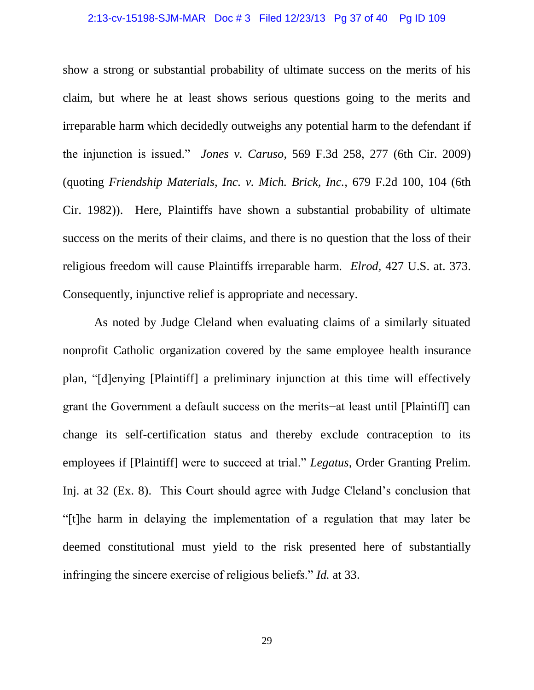#### 2:13-cv-15198-SJM-MAR Doc # 3 Filed 12/23/13 Pg 37 of 40 Pg ID 109

show a strong or substantial probability of ultimate success on the merits of his claim, but where he at least shows serious questions going to the merits and irreparable harm which decidedly outweighs any potential harm to the defendant if the injunction is issued." *Jones v. Caruso*, 569 F.3d 258, 277 (6th Cir. 2009) (quoting *Friendship Materials, Inc. v. Mich. Brick, Inc.,* 679 F.2d 100, 104 (6th Cir. 1982)). Here, Plaintiffs have shown a substantial probability of ultimate success on the merits of their claims, and there is no question that the loss of their religious freedom will cause Plaintiffs irreparable harm. *Elrod,* 427 U.S. at. 373. Consequently, injunctive relief is appropriate and necessary.

As noted by Judge Cleland when evaluating claims of a similarly situated nonprofit Catholic organization covered by the same employee health insurance plan, "[d]enying [Plaintiff] a preliminary injunction at this time will effectively grant the Government a default success on the merits−at least until [Plaintiff] can change its self-certification status and thereby exclude contraception to its employees if [Plaintiff] were to succeed at trial." *Legatus,* Order Granting Prelim. Inj. at 32 (Ex. 8). This Court should agree with Judge Cleland's conclusion that "[t]he harm in delaying the implementation of a regulation that may later be deemed constitutional must yield to the risk presented here of substantially infringing the sincere exercise of religious beliefs." *Id.* at 33.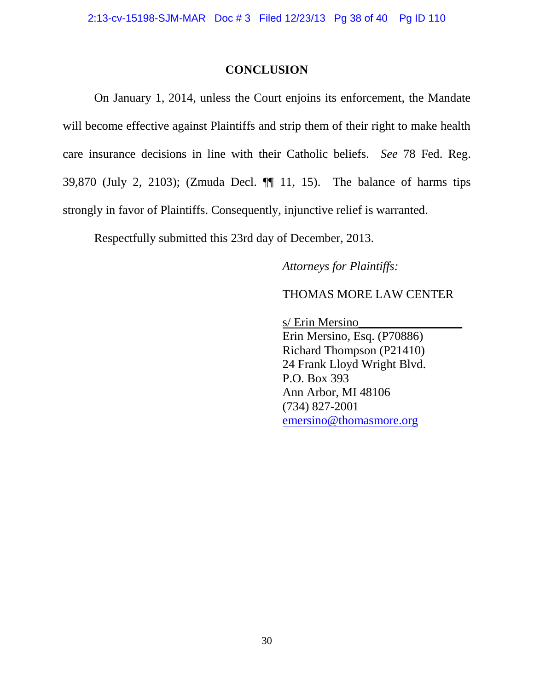## **CONCLUSION**

On January 1, 2014, unless the Court enjoins its enforcement, the Mandate will become effective against Plaintiffs and strip them of their right to make health care insurance decisions in line with their Catholic beliefs. *See* 78 Fed. Reg. 39,870 (July 2, 2103); (Zmuda Decl. ¶¶ 11, 15). The balance of harms tips strongly in favor of Plaintiffs. Consequently, injunctive relief is warranted.

Respectfully submitted this 23rd day of December, 2013.

*Attorneys for Plaintiffs:*

THOMAS MORE LAW CENTER

s/ Erin Mersino\_\_\_\_\_\_\_\_\_\_\_\_\_\_\_\_\_ Erin Mersino, Esq. (P70886) Richard Thompson (P21410) 24 Frank Lloyd Wright Blvd. P.O. Box 393 Ann Arbor, MI 48106 (734) 827-2001 [emersino@thomasmore.org](mailto:emersino@thomasmore.org)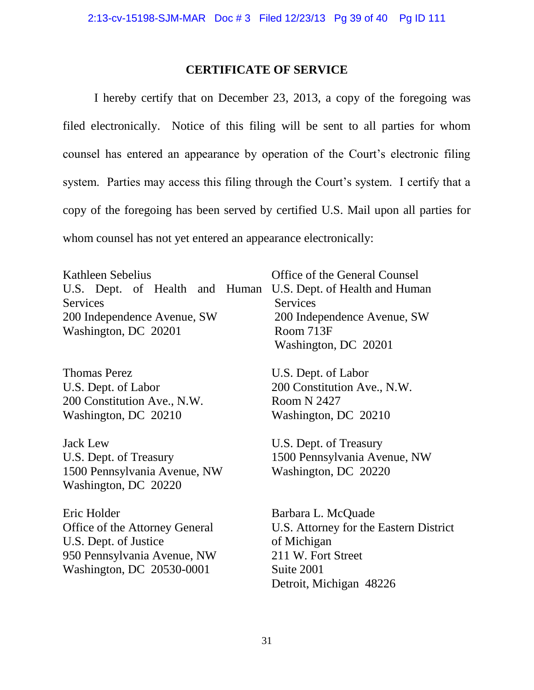## **CERTIFICATE OF SERVICE**

I hereby certify that on December 23, 2013, a copy of the foregoing was filed electronically. Notice of this filing will be sent to all parties for whom counsel has entered an appearance by operation of the Court's electronic filing system. Parties may access this filing through the Court's system. I certify that a copy of the foregoing has been served by certified U.S. Mail upon all parties for whom counsel has not yet entered an appearance electronically:

Kathleen Sebelius U.S. Dept. of Health and Human U.S. Dept. of Health and Human Services 200 Independence Avenue, SW Washington, DC 20201

Thomas Perez U.S. Dept. of Labor 200 Constitution Ave., N.W. Washington, DC 20210

Jack Lew U.S. Dept. of Treasury 1500 Pennsylvania Avenue, NW Washington, DC 20220

Eric Holder Office of the Attorney General U.S. Dept. of Justice 950 Pennsylvania Avenue, NW Washington, DC 20530-0001

Office of the General Counsel **Services** 200 Independence Avenue, SW Room 713F Washington, DC 20201

U.S. Dept. of Labor 200 Constitution Ave., N.W. Room N 2427 Washington, DC 20210

U.S. Dept. of Treasury 1500 Pennsylvania Avenue, NW Washington, DC 20220

Barbara L. McQuade U.S. Attorney for the Eastern District of Michigan 211 W. Fort Street Suite 2001 Detroit, Michigan 48226